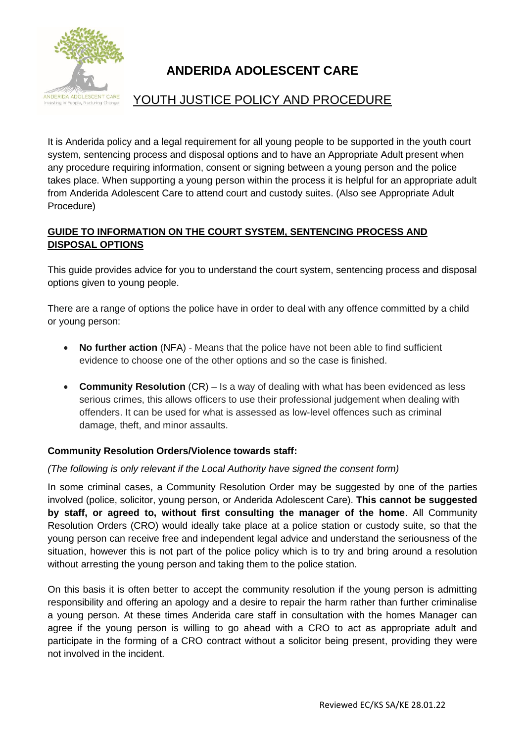

# **ANDERIDA ADOLESCENT CARE**

# YOUTH JUSTICE POLICY AND PROCEDURE

It is Anderida policy and a legal requirement for all young people to be supported in the youth court system, sentencing process and disposal options and to have an Appropriate Adult present when any procedure requiring information, consent or signing between a young person and the police takes place. When supporting a young person within the process it is helpful for an appropriate adult from Anderida Adolescent Care to attend court and custody suites. (Also see Appropriate Adult Procedure)

# **GUIDE TO INFORMATION ON THE COURT SYSTEM, SENTENCING PROCESS AND DISPOSAL OPTIONS**

This guide provides advice for you to understand the court system, sentencing process and disposal options given to young people.

There are a range of options the police have in order to deal with any offence committed by a child or young person:

- **No further action** (NFA) Means that the police have not been able to find sufficient evidence to choose one of the other options and so the case is finished.
- **Community Resolution** (CR) Is a way of dealing with what has been evidenced as less serious crimes, this allows officers to use their professional judgement when dealing with offenders. It can be used for what is assessed as low-level offences such as criminal damage, theft, and minor assaults.

# **Community Resolution Orders/Violence towards staff:**

# *(The following is only relevant if the Local Authority have signed the consent form)*

In some criminal cases, a Community Resolution Order may be suggested by one of the parties involved (police, solicitor, young person, or Anderida Adolescent Care). **This cannot be suggested by staff, or agreed to, without first consulting the manager of the home**. All Community Resolution Orders (CRO) would ideally take place at a police station or custody suite, so that the young person can receive free and independent legal advice and understand the seriousness of the situation, however this is not part of the police policy which is to try and bring around a resolution without arresting the young person and taking them to the police station.

On this basis it is often better to accept the community resolution if the young person is admitting responsibility and offering an apology and a desire to repair the harm rather than further criminalise a young person. At these times Anderida care staff in consultation with the homes Manager can agree if the young person is willing to go ahead with a CRO to act as appropriate adult and participate in the forming of a CRO contract without a solicitor being present, providing they were not involved in the incident.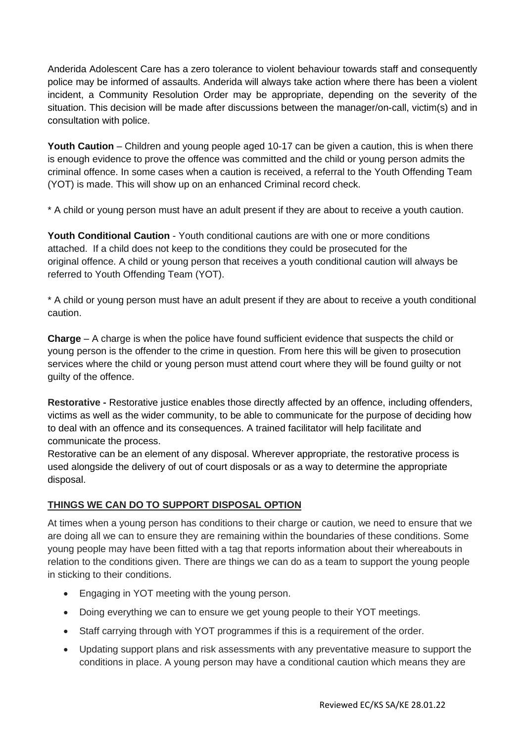Anderida Adolescent Care has a zero tolerance to violent behaviour towards staff and consequently police may be informed of assaults. Anderida will always take action where there has been a violent incident, a Community Resolution Order may be appropriate, depending on the severity of the situation. This decision will be made after discussions between the manager/on-call, victim(s) and in consultation with police.

**Youth Caution** – Children and young people aged 10-17 can be given a caution, this is when there is enough evidence to prove the offence was committed and the child or young person admits the criminal offence. In some cases when a caution is received, a referral to the Youth Offending Team (YOT) is made. This will show up on an enhanced Criminal record check.

\* A child or young person must have an adult present if they are about to receive a youth caution.

**Youth Conditional Caution** - Youth conditional cautions are with one or more conditions attached. If a child does not keep to the conditions they could be prosecuted for the original offence. A child or young person that receives a youth conditional caution will always be referred to Youth Offending Team (YOT).

\* A child or young person must have an adult present if they are about to receive a youth conditional caution.

**Charge** – A charge is when the police have found sufficient evidence that suspects the child or young person is the offender to the crime in question. From here this will be given to prosecution services where the child or young person must attend court where they will be found guilty or not guilty of the offence.

**Restorative -** Restorative justice enables those directly affected by an offence, including offenders, victims as well as the wider community, to be able to communicate for the purpose of deciding how to deal with an offence and its consequences. A trained facilitator will help facilitate and communicate the process.

Restorative can be an element of any disposal. Wherever appropriate, the restorative process is used alongside the delivery of out of court disposals or as a way to determine the appropriate disposal.

# **THINGS WE CAN DO TO SUPPORT DISPOSAL OPTION**

At times when a young person has conditions to their charge or caution, we need to ensure that we are doing all we can to ensure they are remaining within the boundaries of these conditions. Some young people may have been fitted with a tag that reports information about their whereabouts in relation to the conditions given. There are things we can do as a team to support the young people in sticking to their conditions.

- Engaging in YOT meeting with the young person.
- Doing everything we can to ensure we get young people to their YOT meetings.
- Staff carrying through with YOT programmes if this is a requirement of the order.
- Updating support plans and risk assessments with any preventative measure to support the conditions in place. A young person may have a conditional caution which means they are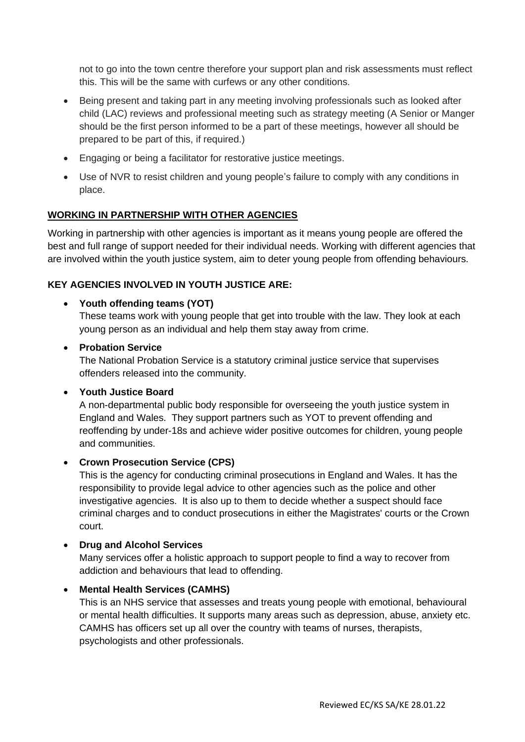not to go into the town centre therefore your support plan and risk assessments must reflect this. This will be the same with curfews or any other conditions.

- Being present and taking part in any meeting involving professionals such as looked after child (LAC) reviews and professional meeting such as strategy meeting (A Senior or Manger should be the first person informed to be a part of these meetings, however all should be prepared to be part of this, if required.)
- Engaging or being a facilitator for restorative justice meetings.
- Use of NVR to resist children and young people's failure to comply with any conditions in place.

#### **WORKING IN PARTNERSHIP WITH OTHER AGENCIES**

Working in partnership with other agencies is important as it means young people are offered the best and full range of support needed for their individual needs. Working with different agencies that are involved within the youth justice system, aim to deter young people from offending behaviours.

#### **KEY AGENCIES INVOLVED IN YOUTH JUSTICE ARE:**

#### • **Youth offending teams (YOT)**

These teams work with young people that get into trouble with the law. They look at each young person as an individual and help them stay away from crime.

#### • **Probation Service**

The National Probation Service is a statutory criminal justice service that supervises offenders released into the community.

#### • **Youth Justice Board**

A non-departmental public body responsible for overseeing the youth justice system in England and Wales. They support partners such as YOT to prevent offending and reoffending by under-18s and achieve wider positive outcomes for children, young people and communities.

#### • **Crown Prosecution Service (CPS)**

This is the agency for conducting criminal prosecutions in England and Wales. It has the responsibility to provide legal advice to other agencies such as the police and other investigative agencies. It is also up to them to decide whether a suspect should face criminal charges and to conduct prosecutions in either the Magistrates' courts or the Crown court.

#### • **Drug and Alcohol Services**

Many services offer a holistic approach to support people to find a way to recover from addiction and behaviours that lead to offending.

#### • **Mental Health Services (CAMHS)**

This is an NHS service that assesses and treats young people with emotional, behavioural or mental health difficulties. It supports many areas such as depression, abuse, anxiety etc. CAMHS has officers set up all over the country with teams of nurses, therapists, psychologists and other professionals.